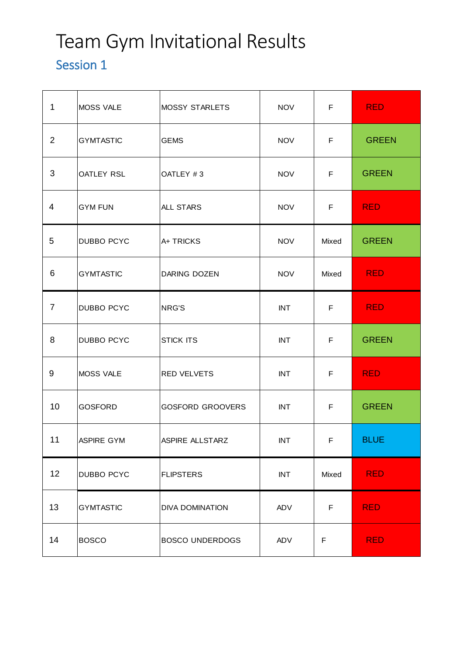# Team Gym Invitational Results

### Session 1

| $\mathbf 1$    | <b>MOSS VALE</b>  | <b>MOSSY STARLETS</b>   | <b>NOV</b> | F     | <b>RED</b>   |
|----------------|-------------------|-------------------------|------------|-------|--------------|
| 2              | <b>GYMTASTIC</b>  | <b>GEMS</b>             | <b>NOV</b> | F     | <b>GREEN</b> |
| 3              | <b>OATLEY RSL</b> | OATLEY #3               | <b>NOV</b> | F     | <b>GREEN</b> |
| 4              | <b>GYM FUN</b>    | <b>ALL STARS</b>        | <b>NOV</b> | F     | <b>RED</b>   |
| 5              | <b>DUBBO PCYC</b> | A+ TRICKS               | <b>NOV</b> | Mixed | <b>GREEN</b> |
| 6              | <b>GYMTASTIC</b>  | DARING DOZEN            | <b>NOV</b> | Mixed | <b>RED</b>   |
| $\overline{7}$ | <b>DUBBO PCYC</b> | NRG'S                   | <b>INT</b> | F     | <b>RED</b>   |
| 8              | <b>DUBBO PCYC</b> | <b>STICK ITS</b>        | <b>INT</b> | F     | <b>GREEN</b> |
| 9              | <b>MOSS VALE</b>  | <b>RED VELVETS</b>      | <b>INT</b> | F     | <b>RED</b>   |
| 10             | <b>GOSFORD</b>    | <b>GOSFORD GROOVERS</b> | <b>INT</b> | F.    | <b>GREEN</b> |
| 11             | ASPIRE GYM        | ASPIRE ALLSTARZ         | <b>INT</b> | F     | <b>BLUE</b>  |
| 12             | <b>DUBBO PCYC</b> | <b>FLIPSTERS</b>        | <b>INT</b> | Mixed | <b>RED</b>   |
| 13             | <b>GYMTASTIC</b>  | <b>DIVA DOMINATION</b>  | ADV        | F     | <b>RED</b>   |
| 14             | <b>BOSCO</b>      | <b>BOSCO UNDERDOGS</b>  | ADV        | F     | <b>RED</b>   |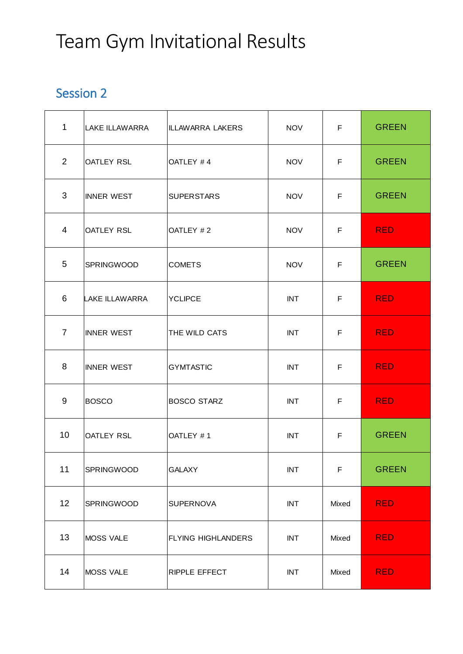### Team Gym Invitational Results

#### Session 2

| 1              | <b>LAKE ILLAWARRA</b> | <b>ILLAWARRA LAKERS</b>   | <b>NOV</b> | F     | <b>GREEN</b> |
|----------------|-----------------------|---------------------------|------------|-------|--------------|
| 2              | <b>OATLEY RSL</b>     | OATLEY #4                 | <b>NOV</b> | F     | <b>GREEN</b> |
| 3              | <b>INNER WEST</b>     | <b>SUPERSTARS</b>         | <b>NOV</b> | F     | <b>GREEN</b> |
| 4              | <b>OATLEY RSL</b>     | OATLEY #2                 | <b>NOV</b> | F     | <b>RED</b>   |
| 5              | <b>SPRINGWOOD</b>     | <b>COMETS</b>             | <b>NOV</b> | F     | <b>GREEN</b> |
| 6              | <b>LAKE ILLAWARRA</b> | <b>YCLIPCE</b>            | <b>INT</b> | F     | <b>RED</b>   |
| $\overline{7}$ | <b>INNER WEST</b>     | <b>THE WILD CATS</b>      | <b>INT</b> | F     | <b>RED</b>   |
| 8              | <b>INNER WEST</b>     | <b>GYMTASTIC</b>          | <b>INT</b> | F     | <b>RED</b>   |
| 9              | <b>BOSCO</b>          | <b>BOSCO STARZ</b>        | <b>INT</b> | F     | <b>RED</b>   |
| 10             | <b>OATLEY RSL</b>     | OATLEY #1                 | <b>INT</b> | F     | <b>GREEN</b> |
| 11             | SPRINGWOOD            | <b>GALAXY</b>             | <b>INT</b> | F     | <b>GREEN</b> |
| 12             | <b>SPRINGWOOD</b>     | <b>SUPERNOVA</b>          | <b>INT</b> | Mixed | <b>RED</b>   |
| 13             | <b>MOSS VALE</b>      | <b>FLYING HIGHLANDERS</b> | <b>INT</b> | Mixed | <b>RED</b>   |
| 14             | <b>MOSS VALE</b>      | <b>RIPPLE EFFECT</b>      | <b>INT</b> | Mixed | <b>RED</b>   |